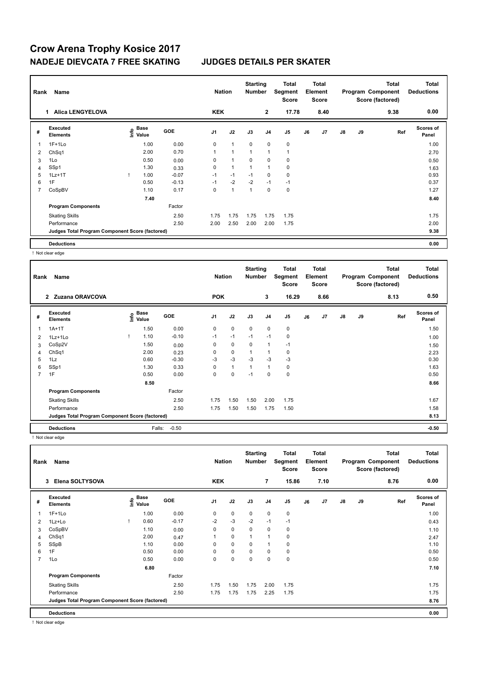## **Crow Arena Trophy Kosice 2017 NADEJE DIEVCATA 7 FREE SKATING JUDGES DETAILS PER SKATER**

| Rank<br>Name |                                                 |   |                           |         |                | <b>Nation</b>  |                | <b>Starting</b><br><b>Number</b> | Total<br>Segment<br>Score | <b>Total</b><br><b>Element</b><br><b>Score</b> |      | Program Component |    | <b>Total</b><br>Score (factored) | <b>Total</b><br><b>Deductions</b> |
|--------------|-------------------------------------------------|---|---------------------------|---------|----------------|----------------|----------------|----------------------------------|---------------------------|------------------------------------------------|------|-------------------|----|----------------------------------|-----------------------------------|
|              | <b>Alica LENGYELOVA</b><br>1.                   |   |                           |         | <b>KEK</b>     |                |                | $\mathbf{2}$                     | 17.78                     |                                                | 8.40 |                   |    | 9.38                             | 0.00                              |
| #            | <b>Executed</b><br><b>Elements</b>              |   | Base<br>o Base<br>⊆ Value | GOE     | J <sub>1</sub> | J2             | J3             | J <sub>4</sub>                   | J5                        | J6                                             | J7   | J8                | J9 | Ref                              | <b>Scores of</b><br>Panel         |
|              | $1F+1Lo$                                        |   | 1.00                      | 0.00    | 0              | $\overline{1}$ | $\mathbf 0$    | $\mathbf 0$                      | $\pmb{0}$                 |                                                |      |                   |    |                                  | 1.00                              |
| 2            | ChSq1                                           |   | 2.00                      | 0.70    | 1              | $\overline{1}$ | $\overline{1}$ | $\overline{1}$                   | $\overline{1}$            |                                                |      |                   |    |                                  | 2.70                              |
| 3            | 1Lo                                             |   | 0.50                      | 0.00    | 0              | 1              | 0              | 0                                | 0                         |                                                |      |                   |    |                                  | 0.50                              |
| 4            | SSp1                                            |   | 1.30                      | 0.33    | 0              | $\overline{1}$ | $\overline{ }$ | $\overline{1}$                   | 0                         |                                                |      |                   |    |                                  | 1.63                              |
| 5            | $1Lz+1T$                                        | Ţ | 1.00                      | $-0.07$ | $-1$           | $-1$           | $-1$           | 0                                | $\pmb{0}$                 |                                                |      |                   |    |                                  | 0.93                              |
| 6            | 1F                                              |   | 0.50                      | $-0.13$ | $-1$           | $-2$           | $-2$           | $-1$                             | $-1$                      |                                                |      |                   |    |                                  | 0.37                              |
| 7            | CoSpBV                                          |   | 1.10                      | 0.17    | $\Omega$       | $\overline{1}$ | 1              | $\mathbf 0$                      | $\pmb{0}$                 |                                                |      |                   |    |                                  | 1.27                              |
|              |                                                 |   | 7.40                      |         |                |                |                |                                  |                           |                                                |      |                   |    |                                  | 8.40                              |
|              | <b>Program Components</b>                       |   |                           | Factor  |                |                |                |                                  |                           |                                                |      |                   |    |                                  |                                   |
|              | <b>Skating Skills</b>                           |   |                           | 2.50    | 1.75           | 1.75           | 1.75           | 1.75                             | 1.75                      |                                                |      |                   |    |                                  | 1.75                              |
|              | Performance                                     |   |                           | 2.50    | 2.00           | 2.50           | 2.00           | 2.00                             | 1.75                      |                                                |      |                   |    |                                  | 2.00                              |
|              | Judges Total Program Component Score (factored) |   |                           |         |                |                |                |                                  |                           |                                                |      |                   |    |                                  | 9.38                              |
|              | <b>Deductions</b>                               |   |                           |         |                |                |                |                                  |                           |                                                |      |                   |    |                                  | 0.00                              |

! Not clear edge

| Rank           | Name                                            |                       |            | <b>Nation</b>  |              | <b>Starting</b><br><b>Number</b> |              | Total<br>Segment<br><b>Score</b> |    | <b>Total</b><br>Element<br><b>Score</b> |    |    | <b>Total</b><br>Program Component<br>Score (factored) | Total<br><b>Deductions</b> |
|----------------|-------------------------------------------------|-----------------------|------------|----------------|--------------|----------------------------------|--------------|----------------------------------|----|-----------------------------------------|----|----|-------------------------------------------------------|----------------------------|
|                | 2 Zuzana ORAVCOVA                               |                       |            | <b>POK</b>     |              |                                  | 3            | 16.29                            |    | 8.66                                    |    |    | 8.13                                                  | 0.50                       |
| #              | Executed<br><b>Elements</b>                     | $\sum_{i=1}^{6}$ Pase | <b>GOE</b> | J <sub>1</sub> | J2           | J3                               | J4           | J5                               | J6 | J7                                      | J8 | J9 | Ref                                                   | <b>Scores of</b><br>Panel  |
|                | $1A+1T$                                         | 1.50                  | 0.00       | 0              | $\mathbf 0$  | $\mathbf 0$                      | $\mathbf 0$  | $\mathbf 0$                      |    |                                         |    |    |                                                       | 1.50                       |
| 2              | $1Lz+1Lo$                                       | 1.10                  | $-0.10$    | $-1$           | $-1$         | $-1$                             | $-1$         | 0                                |    |                                         |    |    |                                                       | 1.00                       |
| 3              | CoSp2V                                          | 1.50                  | 0.00       | 0              | $\mathbf 0$  | $\mathbf 0$                      | $\mathbf{1}$ | $-1$                             |    |                                         |    |    |                                                       | 1.50                       |
| 4              | ChSq1                                           | 2.00                  | 0.23       | 0              | $\mathbf 0$  | 1                                | $\mathbf 1$  | 0                                |    |                                         |    |    |                                                       | 2.23                       |
| 5              | 1Lz                                             | 0.60                  | $-0.30$    | $-3$           | $-3$         | $-3$                             | $-3$         | $-3$                             |    |                                         |    |    |                                                       | 0.30                       |
| 6              | SSp1                                            | 1.30                  | 0.33       | 0              | $\mathbf{1}$ | 1                                | $\mathbf{1}$ | 0                                |    |                                         |    |    |                                                       | 1.63                       |
| $\overline{7}$ | 1F                                              | 0.50                  | 0.00       | 0              | 0            | $-1$                             | 0            | $\pmb{0}$                        |    |                                         |    |    |                                                       | 0.50                       |
|                |                                                 | 8.50                  |            |                |              |                                  |              |                                  |    |                                         |    |    |                                                       | 8.66                       |
|                | <b>Program Components</b>                       |                       | Factor     |                |              |                                  |              |                                  |    |                                         |    |    |                                                       |                            |
|                | <b>Skating Skills</b>                           |                       | 2.50       | 1.75           | 1.50         | 1.50                             | 2.00         | 1.75                             |    |                                         |    |    |                                                       | 1.67                       |
|                | Performance                                     |                       | 2.50       | 1.75           | 1.50         | 1.50                             | 1.75         | 1.50                             |    |                                         |    |    |                                                       | 1.58                       |
|                | Judges Total Program Component Score (factored) |                       |            |                |              |                                  |              |                                  |    |                                         |    |    |                                                       | 8.13                       |
|                | <b>Deductions</b>                               | Falls:                | $-0.50$    |                |              |                                  |              |                                  |    |                                         |    |    |                                                       | $-0.50$                    |

! Not clear edge

| Name<br>Rank            |                                                 |      |               |            | <b>Nation</b>  |             | <b>Starting</b><br><b>Number</b> |                | Total<br>Segment<br><b>Score</b> | <b>Total</b><br>Element<br>Score |      |               |    | <b>Total</b><br>Program Component<br>Score (factored) | <b>Total</b><br><b>Deductions</b> |
|-------------------------|-------------------------------------------------|------|---------------|------------|----------------|-------------|----------------------------------|----------------|----------------------------------|----------------------------------|------|---------------|----|-------------------------------------------------------|-----------------------------------|
|                         | Elena SOLTYSOVA<br>3                            |      |               |            | <b>KEK</b>     |             |                                  | $\overline{7}$ | 15.86                            |                                  | 7.10 |               |    | 8.76                                                  | 0.00                              |
| #                       | Executed<br><b>Elements</b>                     | Info | Base<br>Value | <b>GOE</b> | J <sub>1</sub> | J2          | J3                               | J <sub>4</sub> | J <sub>5</sub>                   | J6                               | J7   | $\mathsf{J}8$ | J9 | Ref                                                   | Scores of<br>Panel                |
| $\overline{\mathbf{1}}$ | $1F+1Lo$                                        |      | 1.00          | 0.00       | 0              | $\mathbf 0$ | $\mathbf 0$                      | $\mathbf 0$    | $\pmb{0}$                        |                                  |      |               |    |                                                       | 1.00                              |
| 2                       | 1Lz+Lo                                          |      | 0.60          | $-0.17$    | $-2$           | $-3$        | $-2$                             | $-1$           | $-1$                             |                                  |      |               |    |                                                       | 0.43                              |
| 3                       | CoSpBV                                          |      | 1.10          | 0.00       | 0              | $\pmb{0}$   | $\mathbf 0$                      | $\mathbf 0$    | 0                                |                                  |      |               |    |                                                       | 1.10                              |
| 4                       | ChSq1                                           |      | 2.00          | 0.47       |                | $\mathbf 0$ |                                  |                | $\pmb{0}$                        |                                  |      |               |    |                                                       | 2.47                              |
| 5                       | SSpB                                            |      | 1.10          | 0.00       | 0              | $\mathbf 0$ | 0                                | 1              | 0                                |                                  |      |               |    |                                                       | 1.10                              |
| 6                       | 1F                                              |      | 0.50          | 0.00       | 0              | $\mathbf 0$ | $\mathbf 0$                      | $\mathbf 0$    | 0                                |                                  |      |               |    |                                                       | 0.50                              |
| 7                       | 1Lo                                             |      | 0.50          | 0.00       | 0              | $\pmb{0}$   | $\mathbf 0$                      | $\mathbf 0$    | $\pmb{0}$                        |                                  |      |               |    |                                                       | 0.50                              |
|                         |                                                 |      | 6.80          |            |                |             |                                  |                |                                  |                                  |      |               |    |                                                       | 7.10                              |
|                         | <b>Program Components</b>                       |      |               | Factor     |                |             |                                  |                |                                  |                                  |      |               |    |                                                       |                                   |
|                         | <b>Skating Skills</b>                           |      |               | 2.50       | 1.75           | 1.50        | 1.75                             | 2.00           | 1.75                             |                                  |      |               |    |                                                       | 1.75                              |
|                         | Performance                                     |      |               | 2.50       | 1.75           | 1.75        | 1.75                             | 2.25           | 1.75                             |                                  |      |               |    |                                                       | 1.75                              |
|                         | Judges Total Program Component Score (factored) |      |               |            |                |             |                                  |                |                                  |                                  |      |               |    |                                                       | 8.76                              |
|                         | <b>Deductions</b>                               |      |               |            |                |             |                                  |                |                                  |                                  |      |               |    |                                                       | 0.00                              |

! Not clear edge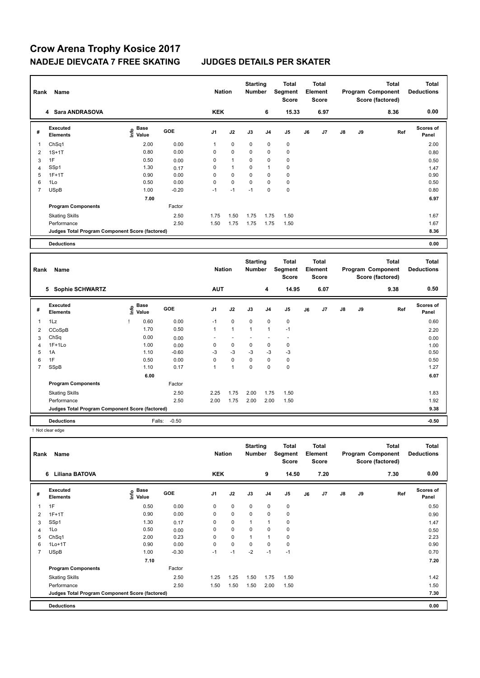# **Crow Arena Trophy Kosice 2017 NADEJE DIEVCATA 7 FREE SKATING JUDGES DETAILS PER SKATER**

| Rank | Name                                            |                             |            | <b>Nation</b>  |              | <b>Starting</b><br><b>Number</b> |                | Total<br>Segment<br><b>Score</b> | <b>Total</b><br>Element<br><b>Score</b> |                         | Program Component |    | <b>Total</b><br>Score (factored)  | Total<br><b>Deductions</b> |
|------|-------------------------------------------------|-----------------------------|------------|----------------|--------------|----------------------------------|----------------|----------------------------------|-----------------------------------------|-------------------------|-------------------|----|-----------------------------------|----------------------------|
|      | <b>Sara ANDRASOVA</b><br>4                      |                             |            | <b>KEK</b>     |              |                                  | 6              | 15.33                            |                                         | 6.97                    |                   |    | 8.36                              | 0.00                       |
| #    | <b>Executed</b><br><b>Elements</b>              | Base<br>$\frac{6}{5}$ Value | <b>GOE</b> | J <sub>1</sub> | J2           | J3                               | J <sub>4</sub> | J5                               | J6                                      | J7                      | J8                | J9 | Ref                               | <b>Scores of</b><br>Panel  |
|      | ChSq1                                           | 2.00                        | 0.00       | 1              | 0            | $\mathbf 0$                      | 0              | $\pmb{0}$                        |                                         |                         |                   |    |                                   | 2.00                       |
| 2    | $1S+1T$                                         | 0.80                        | 0.00       | 0              | $\mathbf 0$  | $\Omega$                         | 0              | $\pmb{0}$                        |                                         |                         |                   |    |                                   | 0.80                       |
| 3    | 1F                                              | 0.50                        | 0.00       | 0              | $\mathbf{1}$ | 0                                | 0              | 0                                |                                         |                         |                   |    |                                   | 0.50                       |
| 4    | SSp1                                            | 1.30                        | 0.17       | 0              | $\mathbf{1}$ | $\Omega$                         | 1              | $\pmb{0}$                        |                                         |                         |                   |    |                                   | 1.47                       |
| 5    | $1F+1T$                                         | 0.90                        | 0.00       | $\mathbf 0$    | $\mathbf 0$  | $\Omega$                         | 0              | 0                                |                                         |                         |                   |    |                                   | 0.90                       |
| 6    | 1Lo                                             | 0.50                        | 0.00       | $\mathbf 0$    | $\mathbf 0$  | $\Omega$                         | 0              | $\pmb{0}$                        |                                         |                         |                   |    |                                   | 0.50                       |
| 7    | <b>USpB</b>                                     | 1.00                        | $-0.20$    | $-1$           | $-1$         | $-1$                             | 0              | $\pmb{0}$                        |                                         |                         |                   |    |                                   | 0.80                       |
|      |                                                 | 7.00                        |            |                |              |                                  |                |                                  |                                         |                         |                   |    |                                   | 6.97                       |
|      | <b>Program Components</b>                       |                             | Factor     |                |              |                                  |                |                                  |                                         |                         |                   |    |                                   |                            |
|      | <b>Skating Skills</b>                           |                             | 2.50       | 1.75           | 1.50         | 1.75                             | 1.75           | 1.50                             |                                         |                         |                   |    |                                   | 1.67                       |
|      | Performance                                     |                             | 2.50       | 1.50           | 1.75         | 1.75                             | 1.75           | 1.50                             |                                         |                         |                   |    |                                   | 1.67                       |
|      | Judges Total Program Component Score (factored) |                             |            |                |              |                                  |                |                                  |                                         |                         |                   |    |                                   | 8.36                       |
|      | <b>Deductions</b>                               |                             |            |                |              |                                  |                |                                  |                                         |                         |                   |    |                                   | 0.00                       |
|      | Daniel Manag                                    |                             |            | <b>Notion</b>  |              | <b>Starting</b>                  |                | <b>Total</b><br>Number Commont   |                                         | <b>Total</b><br>Element |                   |    | <b>Total</b><br>Drogram Component | Total<br><b>Deductions</b> |

| Rank | Name                                            |                             |         | <b>Nation</b> |              | <b>Number</b> |                | <br>Segment<br><b>Score</b> |    | <br><b>Element</b><br><b>Score</b> |               |    | <br>Program Component<br>Score (factored) | <br><b>Deductions</b> |  |
|------|-------------------------------------------------|-----------------------------|---------|---------------|--------------|---------------|----------------|-----------------------------|----|------------------------------------|---------------|----|-------------------------------------------|-----------------------|--|
|      | 5 Sophie SCHWARTZ                               |                             |         | <b>AUT</b>    |              |               | 4              | 14.95                       |    | 6.07                               |               |    | 9.38                                      | 0.50                  |  |
| #    | Executed<br><b>Elements</b>                     | Base<br>$\frac{6}{5}$ Value | GOE     | J1            | J2           | J3            | J <sub>4</sub> | J5                          | J6 | J <sub>7</sub>                     | $\mathsf{J}8$ | J9 | Ref                                       | Scores of<br>Panel    |  |
| 1    | 1Lz                                             | 0.60                        | 0.00    | $-1$          | $\mathbf 0$  | $\mathbf 0$   | $\mathbf 0$    | $\mathbf 0$                 |    |                                    |               |    |                                           | 0.60                  |  |
| 2    | CCoSpB                                          | 1.70                        | 0.50    | 1             | $\mathbf{1}$ | $\mathbf{1}$  | 1              | $-1$                        |    |                                    |               |    |                                           | 2.20                  |  |
| 3    | ChSq                                            | 0.00                        | 0.00    |               |              |               |                |                             |    |                                    |               |    |                                           | 0.00                  |  |
| 4    | $1F+1Lo$                                        | 1.00                        | 0.00    | 0             | 0            | $\mathbf 0$   | 0              | 0                           |    |                                    |               |    |                                           | 1.00                  |  |
| 5    | 1A                                              | 1.10                        | $-0.60$ | -3            | $-3$         | $-3$          | $-3$           | $-3$                        |    |                                    |               |    |                                           | 0.50                  |  |
| 6    | 1F                                              | 0.50                        | 0.00    | 0             | $\mathbf 0$  | $\Omega$      | $\mathbf 0$    | $\mathbf 0$                 |    |                                    |               |    |                                           | 0.50                  |  |
| 7    | SSpB                                            | 1.10                        | 0.17    | 1             | 1            | 0             | 0              | $\pmb{0}$                   |    |                                    |               |    |                                           | 1.27                  |  |
|      |                                                 | 6.00                        |         |               |              |               |                |                             |    |                                    |               |    |                                           | 6.07                  |  |
|      | <b>Program Components</b>                       |                             | Factor  |               |              |               |                |                             |    |                                    |               |    |                                           |                       |  |
|      | <b>Skating Skills</b>                           |                             | 2.50    | 2.25          | 1.75         | 2.00          | 1.75           | 1.50                        |    |                                    |               |    |                                           | 1.83                  |  |
|      | Performance                                     |                             | 2.50    | 2.00          | 1.75         | 2.00          | 2.00           | 1.50                        |    |                                    |               |    |                                           | 1.92                  |  |
|      | Judges Total Program Component Score (factored) |                             |         |               |              |               |                |                             |    |                                    |               |    |                                           | 9.38                  |  |
|      | <b>Deductions</b>                               | Falls:                      | $-0.50$ |               |              |               |                |                             |    |                                    |               |    |                                           | $-0.50$               |  |

! Not clear edge

| Name<br>Rank   |                                                 |                           | <b>Nation</b> |                | <b>Starting</b><br><b>Number</b> |             | Total<br>Segment<br><b>Score</b> | <b>Total</b><br>Element<br><b>Score</b> |    | Program Component |    | <b>Total</b><br>Score (factored) | Total<br><b>Deductions</b> |                           |
|----------------|-------------------------------------------------|---------------------------|---------------|----------------|----------------------------------|-------------|----------------------------------|-----------------------------------------|----|-------------------|----|----------------------------------|----------------------------|---------------------------|
|                | <b>Liliana BATOVA</b><br>6                      |                           |               | <b>KEK</b>     |                                  |             | 9                                | 14.50                                   |    | 7.20              |    |                                  | 7.30                       | 0.00                      |
| #              | Executed<br><b>Elements</b>                     | Base<br>e Base<br>⊆ Value | GOE           | J <sub>1</sub> | J2                               | J3          | J <sub>4</sub>                   | J5                                      | J6 | J <sub>7</sub>    | J8 | J9                               | Ref                        | <b>Scores of</b><br>Panel |
| 1              | 1F                                              | 0.50                      | 0.00          | 0              | $\pmb{0}$                        | $\mathbf 0$ | $\mathbf 0$                      | 0                                       |    |                   |    |                                  |                            | 0.50                      |
| 2              | $1F+1T$                                         | 0.90                      | 0.00          | 0              | $\mathbf 0$                      | $\mathbf 0$ | $\mathbf 0$                      | $\mathbf 0$                             |    |                   |    |                                  |                            | 0.90                      |
| 3              | SSp1                                            | 1.30                      | 0.17          | 0              | $\pmb{0}$                        | 1           | $\overline{1}$                   | 0                                       |    |                   |    |                                  |                            | 1.47                      |
| 4              | 1Lo                                             | 0.50                      | 0.00          | 0              | $\mathbf 0$                      | $\mathbf 0$ | $\mathbf 0$                      | $\pmb{0}$                               |    |                   |    |                                  |                            | 0.50                      |
| 5              | ChSq1                                           | 2.00                      | 0.23          | 0              | $\mathbf 0$                      |             | $\mathbf{1}$                     | 0                                       |    |                   |    |                                  |                            | 2.23                      |
| 6              | $1Lo+1T$                                        | 0.90                      | 0.00          | 0              | $\mathbf 0$                      | $\Omega$    | $\mathbf 0$                      | 0                                       |    |                   |    |                                  |                            | 0.90                      |
| $\overline{7}$ | <b>USpB</b>                                     | 1.00                      | $-0.30$       | $-1$           | $-1$                             | $-2$        | $-1$                             | $-1$                                    |    |                   |    |                                  |                            | 0.70                      |
|                |                                                 | 7.10                      |               |                |                                  |             |                                  |                                         |    |                   |    |                                  |                            | 7.20                      |
|                | <b>Program Components</b>                       |                           | Factor        |                |                                  |             |                                  |                                         |    |                   |    |                                  |                            |                           |
|                | <b>Skating Skills</b>                           |                           | 2.50          | 1.25           | 1.25                             | 1.50        | 1.75                             | 1.50                                    |    |                   |    |                                  |                            | 1.42                      |
|                | Performance                                     |                           | 2.50          | 1.50           | 1.50                             | 1.50        | 2.00                             | 1.50                                    |    |                   |    |                                  |                            | 1.50                      |
|                | Judges Total Program Component Score (factored) |                           |               |                |                                  |             |                                  |                                         |    |                   |    |                                  |                            | 7.30                      |
|                | <b>Deductions</b>                               |                           |               |                |                                  |             |                                  |                                         |    |                   |    |                                  |                            | 0.00                      |